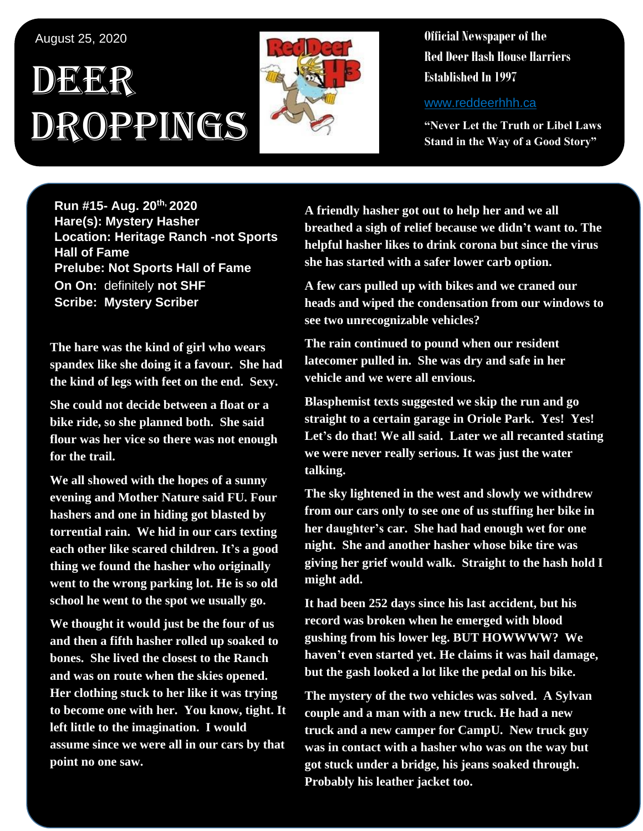## August 25, 2020

# DEER Droppings



**Official Newspaper of the Red Deer Hash House Harriers Established In 1997** 

www.reddeerhhh.ca

**"Never Let the Truth or Libel Laws Stand in the Way of a Good Story"**

**Run #15- Aug. 20th, 2020 Hare(s): Mystery Hasher Location: Heritage Ranch -not Sports Hall of Fame Prelube: Not Sports Hall of Fame On On:** definitely **not SHF Scribe: Mystery Scriber**

**The hare was the kind of girl who wears spandex like she doing it a favour. She had the kind of legs with feet on the end. Sexy.** 

**She could not decide between a float or a bike ride, so she planned both. She said flour was her vice so there was not enough for the trail.** 

**We all showed with the hopes of a sunny evening and Mother Nature said FU. Four hashers and one in hiding got blasted by torrential rain. We hid in our cars texting each other like scared children. It's a good thing we found the hasher who originally went to the wrong parking lot. He is so old school he went to the spot we usually go.**

**We thought it would just be the four of us and then a fifth hasher rolled up soaked to bones. She lived the closest to the Ranch and was on route when the skies opened. Her clothing stuck to her like it was trying to become one with her. You know, tight. It left little to the imagination. I would assume since we were all in our cars by that point no one saw.**

**A friendly hasher got out to help her and we all breathed a sigh of relief because we didn't want to. The helpful hasher likes to drink corona but since the virus she has started with a safer lower carb option.**

**A few cars pulled up with bikes and we craned our heads and wiped the condensation from our windows to see two unrecognizable vehicles?** 

**The rain continued to pound when our resident latecomer pulled in. She was dry and safe in her vehicle and we were all envious.** 

**Blasphemist texts suggested we skip the run and go straight to a certain garage in Oriole Park. Yes! Yes! Let's do that! We all said. Later we all recanted stating we were never really serious. It was just the water talking.**

**The sky lightened in the west and slowly we withdrew from our cars only to see one of us stuffing her bike in her daughter's car. She had had enough wet for one night. She and another hasher whose bike tire was giving her grief would walk. Straight to the hash hold I might add.** 

**It had been 252 days since his last accident, but his record was broken when he emerged with blood gushing from his lower leg. BUT HOWWWW? We haven't even started yet. He claims it was hail damage, but the gash looked a lot like the pedal on his bike.**

**The mystery of the two vehicles was solved. A Sylvan couple and a man with a new truck. He had a new truck and a new camper for CampU. New truck guy was in contact with a hasher who was on the way but got stuck under a bridge, his jeans soaked through. Probably his leather jacket too.**